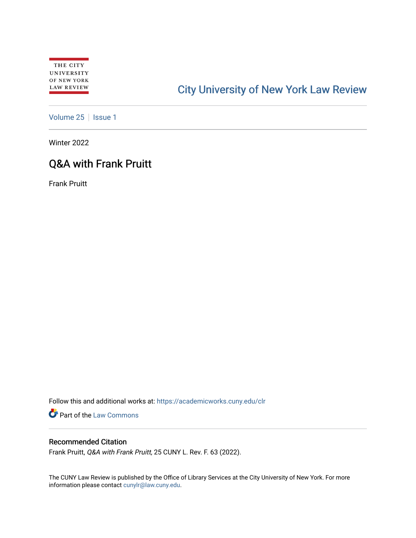# [City University of New York Law Review](https://academicworks.cuny.edu/clr)

[Volume 25](https://academicworks.cuny.edu/clr/vol25) | [Issue 1](https://academicworks.cuny.edu/clr/vol25/iss1)

Winter 2022

## Q&A with Frank Pruitt

Frank Pruitt

Follow this and additional works at: [https://academicworks.cuny.edu/clr](https://academicworks.cuny.edu/clr?utm_source=academicworks.cuny.edu%2Fclr%2Fvol25%2Fiss1%2F6&utm_medium=PDF&utm_campaign=PDFCoverPages) 

Part of the [Law Commons](http://network.bepress.com/hgg/discipline/578?utm_source=academicworks.cuny.edu%2Fclr%2Fvol25%2Fiss1%2F6&utm_medium=PDF&utm_campaign=PDFCoverPages)

## Recommended Citation

Frank Pruitt, Q&A with Frank Pruitt, 25 CUNY L. Rev. F. 63 (2022).

The CUNY Law Review is published by the Office of Library Services at the City University of New York. For more information please contact [cunylr@law.cuny.edu](mailto:cunylr@law.cuny.edu).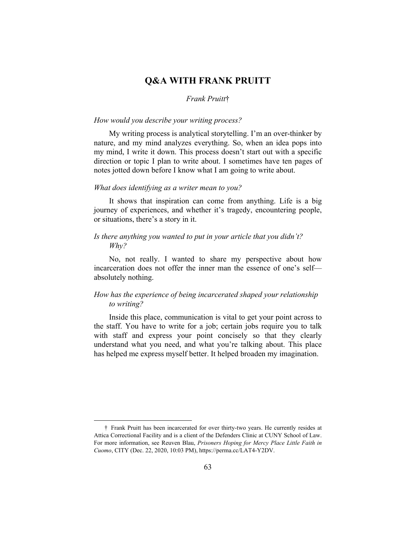## **Q&A WITH FRANK PRUITT**

#### *Frank Pruitt*†

#### *How would you describe your writing process?*

My writing process is analytical storytelling. I'm an over-thinker by nature, and my mind analyzes everything. So, when an idea pops into my mind, I write it down. This process doesn't start out with a specific direction or topic I plan to write about. I sometimes have ten pages of notes jotted down before I know what I am going to write about.

#### *What does identifying as a writer mean to you?*

It shows that inspiration can come from anything. Life is a big journey of experiences, and whether it's tragedy, encountering people, or situations, there's a story in it.

#### *Is there anything you wanted to put in your article that you didn't? Why?*

No, not really. I wanted to share my perspective about how incarceration does not offer the inner man the essence of one's self absolutely nothing.

## *How has the experience of being incarcerated shaped your relationship to writing?*

Inside this place, communication is vital to get your point across to the staff. You have to write for a job; certain jobs require you to talk with staff and express your point concisely so that they clearly understand what you need, and what you're talking about. This place has helped me express myself better. It helped broaden my imagination.

 <sup>†</sup> Frank Pruitt has been incarcerated for over thirty-two years. He currently resides at Attica Correctional Facility and is a client of the Defenders Clinic at CUNY School of Law. For more information, see Reuven Blau, *Prisoners Hoping for Mercy Place Little Faith in Cuomo*, CITY (Dec. 22, 2020, 10:03 PM), https://perma.cc/LAT4-Y2DV.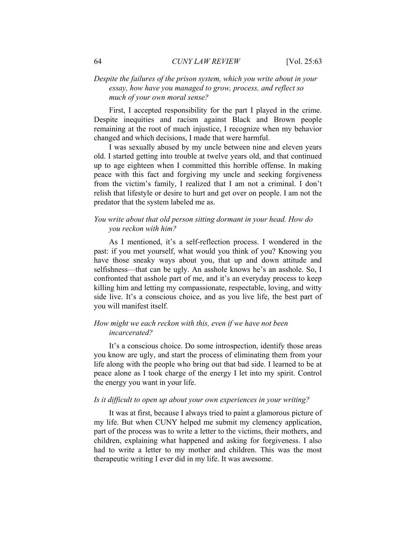## *Despite the failures of the prison system, which you write about in your essay, how have you managed to grow, process, and reflect so much of your own moral sense?*

First, I accepted responsibility for the part I played in the crime. Despite inequities and racism against Black and Brown people remaining at the root of much injustice, I recognize when my behavior changed and which decisions, I made that were harmful.

I was sexually abused by my uncle between nine and eleven years old. I started getting into trouble at twelve years old, and that continued up to age eighteen when I committed this horrible offense. In making peace with this fact and forgiving my uncle and seeking forgiveness from the victim's family, I realized that I am not a criminal. I don't relish that lifestyle or desire to hurt and get over on people. I am not the predator that the system labeled me as.

#### *You write about that old person sitting dormant in your head. How do you reckon with him?*

As I mentioned, it's a self-reflection process. I wondered in the past: if you met yourself, what would you think of you? Knowing you have those sneaky ways about you, that up and down attitude and selfishness—that can be ugly. An asshole knows he's an asshole. So, I confronted that asshole part of me, and it's an everyday process to keep killing him and letting my compassionate, respectable, loving, and witty side live. It's a conscious choice, and as you live life, the best part of you will manifest itself.

#### *How might we each reckon with this, even if we have not been incarcerated?*

It's a conscious choice. Do some introspection, identify those areas you know are ugly, and start the process of eliminating them from your life along with the people who bring out that bad side. I learned to be at peace alone as I took charge of the energy I let into my spirit. Control the energy you want in your life.

#### *Is it difficult to open up about your own experiences in your writing?*

It was at first, because I always tried to paint a glamorous picture of my life. But when CUNY helped me submit my clemency application, part of the process was to write a letter to the victims, their mothers, and children, explaining what happened and asking for forgiveness. I also had to write a letter to my mother and children. This was the most therapeutic writing I ever did in my life. It was awesome.